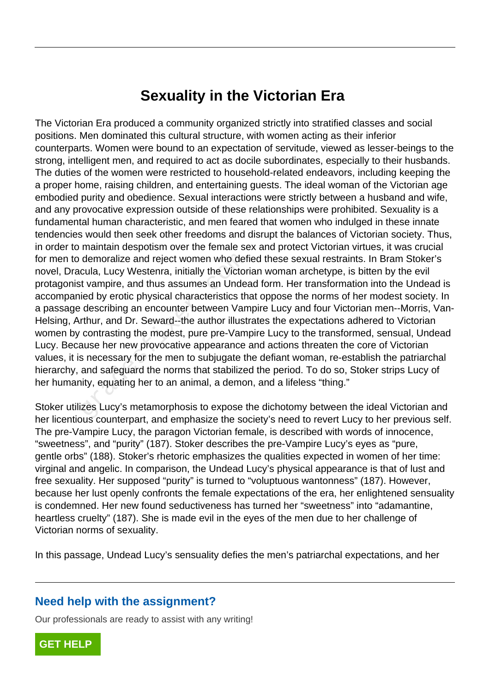## **Sexuality in the Victorian Era**

The Victorian Era produced a community organized strictly into stratified classes and social positions. Men dominated this cultural structure, with women acting as their inferior counterparts. Women were bound to an expectation of servitude, viewed as lesser-beings to the strong, intelligent men, and required to act as docile subordinates, especially to their husbands. The duties of the women were restricted to household-related endeavors, including keeping the a proper home, raising children, and entertaining guests. The ideal woman of the Victorian age embodied purity and obedience. Sexual interactions were strictly between a husband and wife, and any provocative expression outside of these relationships were prohibited. Sexuality is a fundamental human characteristic, and men feared that women who indulged in these innate tendencies would then seek other freedoms and disrupt the balances of Victorian society. Thus, in order to maintain despotism over the female sex and protect Victorian virtues, it was crucial for men to demoralize and reject women who defied these sexual restraints. In Bram Stoker's novel, Dracula, Lucy Westenra, initially the Victorian woman archetype, is bitten by the evil protagonist vampire, and thus assumes an Undead form. Her transformation into the Undead is accompanied by erotic physical characteristics that oppose the norms of her modest society. In a passage describing an encounter between Vampire Lucy and four Victorian men--Morris, Van-Helsing, Arthur, and Dr. Seward--the author illustrates the expectations adhered to Victorian women by contrasting the modest, pure pre-Vampire Lucy to the transformed, sensual, Undead Lucy. Because her new provocative appearance and actions threaten the core of Victorian values, it is necessary for the men to subjugate the defiant woman, re-establish the patriarchal hierarchy, and safeguard the norms that stabilized the period. To do so, Stoker strips Lucy of her humanity, equating her to an animal, a demon, and a lifeless "thing." demoralize and reject women who def<br>cula, Lucy Westenra, initially the Victor<br>t vampire, and thus assumes an Unde-<br>ied by erotic physical characteristics th<br>describing an encounter between Van<br>rthur, and Dr. Seward--the au

Stoker utilizes Lucy's metamorphosis to expose the dichotomy between the ideal Victorian and her licentious counterpart, and emphasize the society's need to revert Lucy to her previous self. The pre-Vampire Lucy, the paragon Victorian female, is described with words of innocence, "sweetness", and "purity" (187). Stoker describes the pre-Vampire Lucy's eyes as "pure, gentle orbs" (188). Stoker's rhetoric emphasizes the qualities expected in women of her time: virginal and angelic. In comparison, the Undead Lucy's physical appearance is that of lust and free sexuality. Her supposed "purity" is turned to "voluptuous wantonness" (187). However, because her lust openly confronts the female expectations of the era, her enlightened sensuality is condemned. Her new found seductiveness has turned her "sweetness" into "adamantine, heartless cruelty" (187). She is made evil in the eyes of the men due to her challenge of Victorian norms of sexuality.

In this passage, Undead Lucy's sensuality defies the men's patriarchal expectations, and her

## **Need help with the assignment?**

Our professionals are ready to assist with any writing!

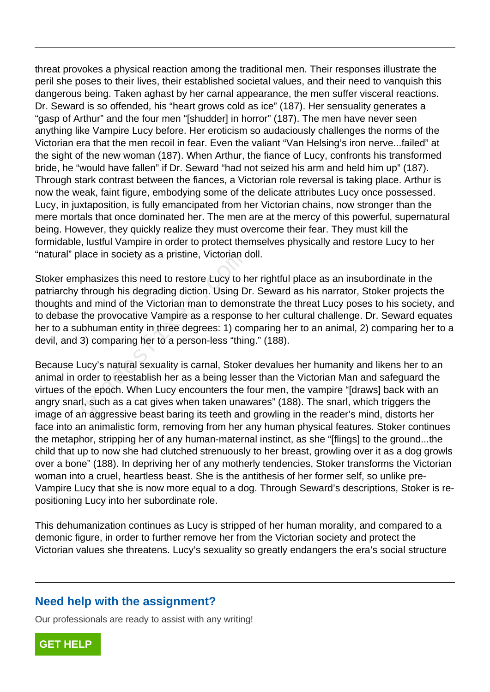threat provokes a physical reaction among the traditional men. Their responses illustrate the peril she poses to their lives, their established societal values, and their need to vanquish this dangerous being. Taken aghast by her carnal appearance, the men suffer visceral reactions. Dr. Seward is so offended, his "heart grows cold as ice" (187). Her sensuality generates a "gasp of Arthur" and the four men "[shudder] in horror" (187). The men have never seen anything like Vampire Lucy before. Her eroticism so audaciously challenges the norms of the Victorian era that the men recoil in fear. Even the valiant "Van Helsing's iron nerve...failed" at the sight of the new woman (187). When Arthur, the fiance of Lucy, confronts his transformed bride, he "would have fallen" if Dr. Seward "had not seized his arm and held him up" (187). Through stark contrast between the fiances, a Victorian role reversal is taking place. Arthur is now the weak, faint figure, embodying some of the delicate attributes Lucy once possessed. Lucy, in juxtaposition, is fully emancipated from her Victorian chains, now stronger than the mere mortals that once dominated her. The men are at the mercy of this powerful, supernatural being. However, they quickly realize they must overcome their fear. They must kill the formidable, lustful Vampire in order to protect themselves physically and restore Lucy to her "natural" place in society as a pristine, Victorian doll.

Stoker emphasizes this need to restore Lucy to her rightful place as an insubordinate in the patriarchy through his degrading diction. Using Dr. Seward as his narrator, Stoker projects the thoughts and mind of the Victorian man to demonstrate the threat Lucy poses to his society, and to debase the provocative Vampire as a response to her cultural challenge. Dr. Seward equates her to a subhuman entity in three degrees: 1) comparing her to an animal, 2) comparing her to a devil, and 3) comparing her to a person-less "thing." (188). race in society as a prisume, victional combinations<br>phasizes this need to restore Lucy to h<br>through his degrading diction. Using D<br>ind mind of the Victorian man to demor<br>the provocative Vampire as a response<br>bhuman entity

Because Lucy's natural sexuality is carnal, Stoker devalues her humanity and likens her to an animal in order to reestablish her as a being lesser than the Victorian Man and safeguard the virtues of the epoch. When Lucy encounters the four men, the vampire "[draws] back with an angry snarl, such as a cat gives when taken unawares" (188). The snarl, which triggers the image of an aggressive beast baring its teeth and growling in the reader's mind, distorts her face into an animalistic form, removing from her any human physical features. Stoker continues the metaphor, stripping her of any human-maternal instinct, as she "[flings] to the ground...the child that up to now she had clutched strenuously to her breast, growling over it as a dog growls over a bone" (188). In depriving her of any motherly tendencies, Stoker transforms the Victorian woman into a cruel, heartless beast. She is the antithesis of her former self, so unlike pre-Vampire Lucy that she is now more equal to a dog. Through Seward's descriptions, Stoker is repositioning Lucy into her subordinate role.

This dehumanization continues as Lucy is stripped of her human morality, and compared to a demonic figure, in order to further remove her from the Victorian society and protect the Victorian values she threatens. Lucy's sexuality so greatly endangers the era's social structure

## **Need help with the assignment?**

Our professionals are ready to assist with any writing!